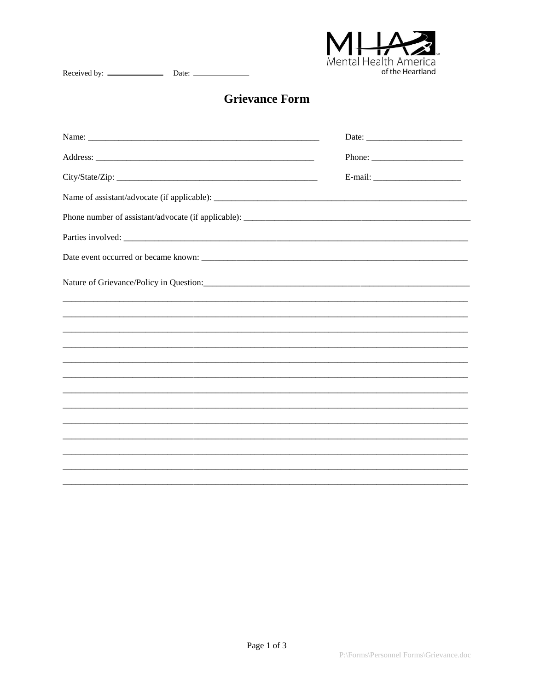

## **Grievance Form**

| Nature of Grievance/Policy in Question: |  |
|-----------------------------------------|--|
|                                         |  |
|                                         |  |
|                                         |  |
|                                         |  |
|                                         |  |
|                                         |  |
|                                         |  |
|                                         |  |
|                                         |  |
|                                         |  |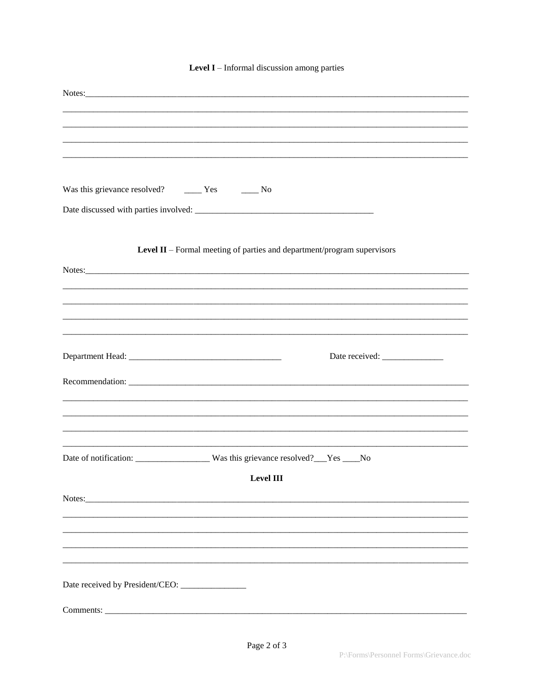## Level  $I$  – Informal discussion among parties

| Was this grievance resolved? ________ Yes ________ No                   |
|-------------------------------------------------------------------------|
|                                                                         |
|                                                                         |
|                                                                         |
| Level II - Formal meeting of parties and department/program supervisors |
|                                                                         |
|                                                                         |
|                                                                         |
|                                                                         |
|                                                                         |
|                                                                         |
|                                                                         |
|                                                                         |
|                                                                         |
|                                                                         |
|                                                                         |
|                                                                         |
|                                                                         |
| <b>Level III</b>                                                        |
| Notes:                                                                  |
|                                                                         |
|                                                                         |
|                                                                         |
|                                                                         |
|                                                                         |
|                                                                         |
|                                                                         |
|                                                                         |